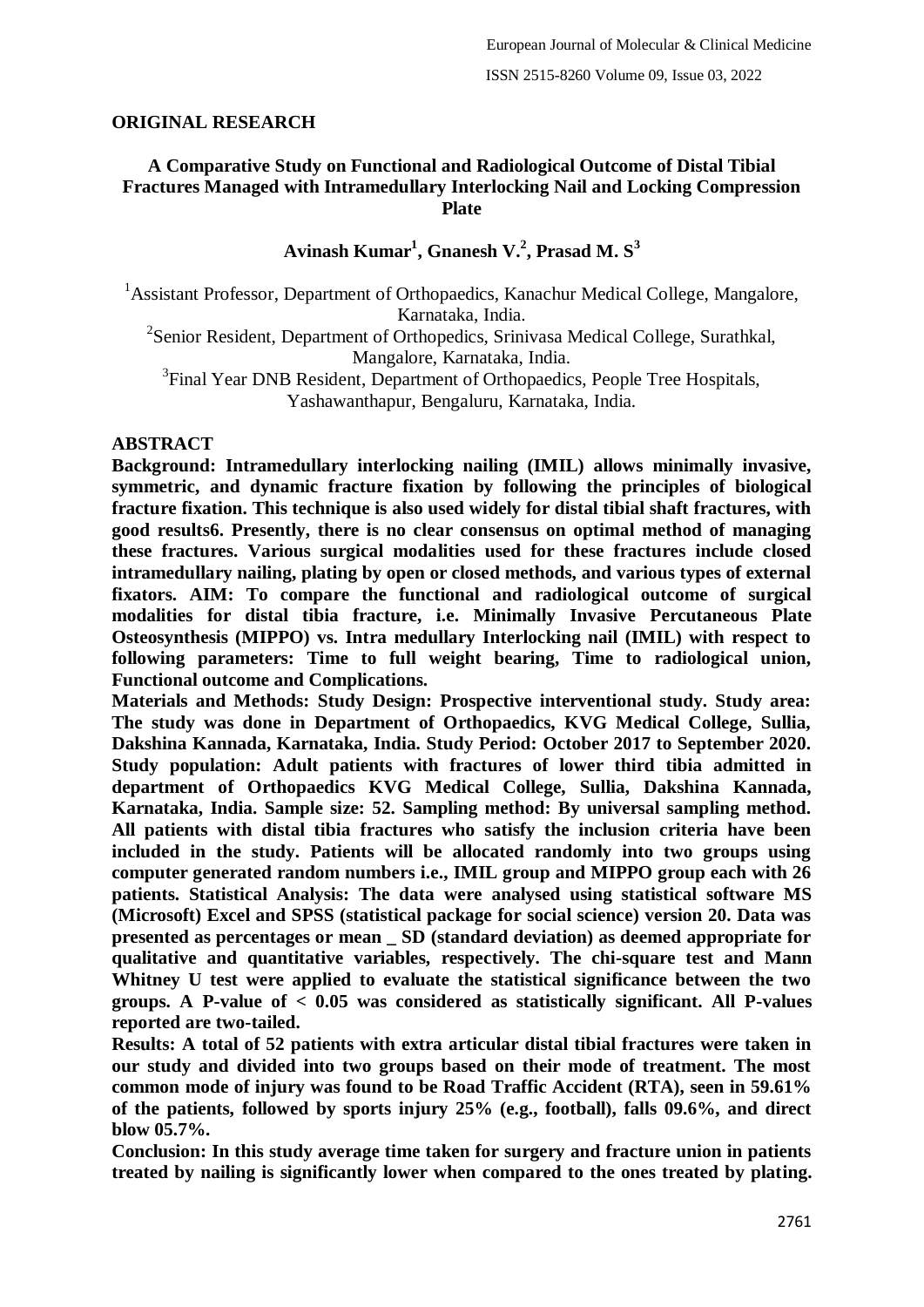### **ORIGINAL RESEARCH**

### **A Comparative Study on Functional and Radiological Outcome of Distal Tibial Fractures Managed with Intramedullary Interlocking Nail and Locking Compression Plate**

## **Avinash Kumar<sup>1</sup> , Gnanesh V.<sup>2</sup> , Prasad M. S<sup>3</sup>**

<sup>1</sup> Assistant Professor, Department of Orthopaedics, Kanachur Medical College, Mangalore, Karnataka, India.

<sup>2</sup>Senior Resident, Department of Orthopedics, Srinivasa Medical College, Surathkal, Mangalore, Karnataka, India.

<sup>3</sup>Final Year DNB Resident, Department of Orthopaedics, People Tree Hospitals, Yashawanthapur, Bengaluru, Karnataka, India.

#### **ABSTRACT**

**Background: Intramedullary interlocking nailing (IMIL) allows minimally invasive, symmetric, and dynamic fracture fixation by following the principles of biological fracture fixation. This technique is also used widely for distal tibial shaft fractures, with good results6. Presently, there is no clear consensus on optimal method of managing these fractures. Various surgical modalities used for these fractures include closed intramedullary nailing, plating by open or closed methods, and various types of external fixators. AIM: To compare the functional and radiological outcome of surgical modalities for distal tibia fracture, i.e. Minimally Invasive Percutaneous Plate Osteosynthesis (MIPPO) vs. Intra medullary Interlocking nail (IMIL) with respect to following parameters: Time to full weight bearing, Time to radiological union, Functional outcome and Complications.**

**Materials and Methods: Study Design: Prospective interventional study. Study area: The study was done in Department of Orthopaedics, KVG Medical College, Sullia, Dakshina Kannada, Karnataka, India. Study Period: October 2017 to September 2020. Study population: Adult patients with fractures of lower third tibia admitted in department of Orthopaedics KVG Medical College, Sullia, Dakshina Kannada, Karnataka, India. Sample size: 52. Sampling method: By universal sampling method. All patients with distal tibia fractures who satisfy the inclusion criteria have been included in the study. Patients will be allocated randomly into two groups using computer generated random numbers i.e., IMIL group and MIPPO group each with 26 patients. Statistical Analysis: The data were analysed using statistical software MS (Microsoft) Excel and SPSS (statistical package for social science) version 20. Data was presented as percentages or mean \_ SD (standard deviation) as deemed appropriate for qualitative and quantitative variables, respectively. The chi-square test and Mann Whitney U test were applied to evaluate the statistical significance between the two groups. A P-value of < 0.05 was considered as statistically significant. All P-values reported are two-tailed.**

**Results: A total of 52 patients with extra articular distal tibial fractures were taken in our study and divided into two groups based on their mode of treatment. The most common mode of injury was found to be Road Traffic Accident (RTA), seen in 59.61% of the patients, followed by sports injury 25% (e.g., football), falls 09.6%, and direct blow 05.7%.**

**Conclusion: In this study average time taken for surgery and fracture union in patients treated by nailing is significantly lower when compared to the ones treated by plating.**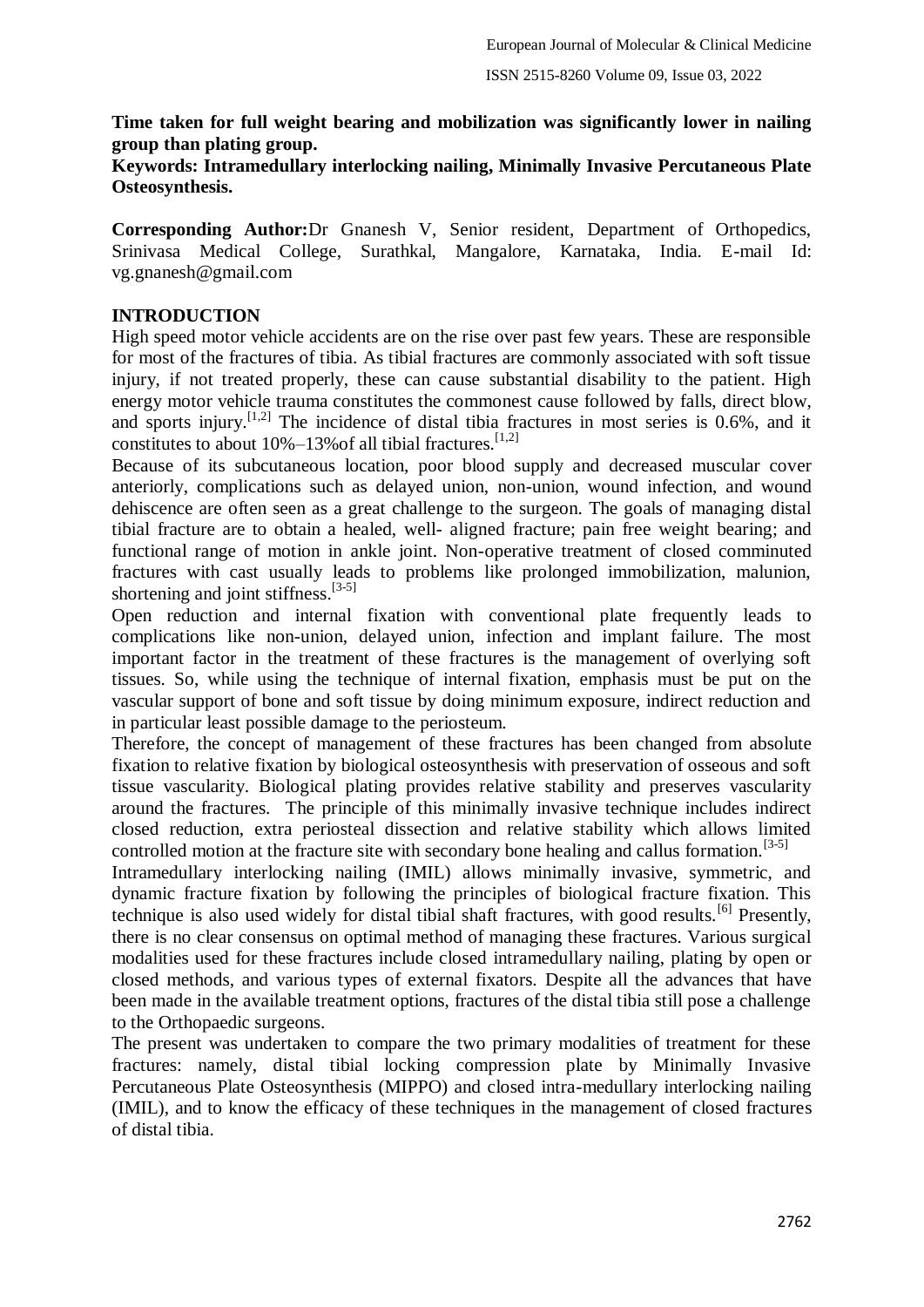## **Time taken for full weight bearing and mobilization was significantly lower in nailing group than plating group.**

### **Keywords: Intramedullary interlocking nailing, Minimally Invasive Percutaneous Plate Osteosynthesis.**

**Corresponding Author:**Dr Gnanesh V, Senior resident, Department of Orthopedics, Srinivasa Medical College, Surathkal, Mangalore, Karnataka, India. E-mail Id: vg.gnanesh@gmail.com

### **INTRODUCTION**

High speed motor vehicle accidents are on the rise over past few years. These are responsible for most of the fractures of tibia. As tibial fractures are commonly associated with soft tissue injury, if not treated properly, these can cause substantial disability to the patient. High energy motor vehicle trauma constitutes the commonest cause followed by falls, direct blow, and sports injury.<sup>[1,2]</sup> The incidence of distal tibia fractures in most series is  $0.6\%$ , and it constitutes to about  $10\% - 13\%$  of all tibial fractures.<sup>[1,2]</sup>

Because of its subcutaneous location, poor blood supply and decreased muscular cover anteriorly, complications such as delayed union, non-union, wound infection, and wound dehiscence are often seen as a great challenge to the surgeon. The goals of managing distal tibial fracture are to obtain a healed, well- aligned fracture; pain free weight bearing; and functional range of motion in ankle joint. Non-operative treatment of closed comminuted fractures with cast usually leads to problems like prolonged immobilization, malunion, shortening and joint stiffness. $[3-5]$ 

Open reduction and internal fixation with conventional plate frequently leads to complications like non-union, delayed union, infection and implant failure. The most important factor in the treatment of these fractures is the management of overlying soft tissues. So, while using the technique of internal fixation, emphasis must be put on the vascular support of bone and soft tissue by doing minimum exposure, indirect reduction and in particular least possible damage to the periosteum.

Therefore, the concept of management of these fractures has been changed from absolute fixation to relative fixation by biological osteosynthesis with preservation of osseous and soft tissue vascularity. Biological plating provides relative stability and preserves vascularity around the fractures. The principle of this minimally invasive technique includes indirect closed reduction, extra periosteal dissection and relative stability which allows limited controlled motion at the fracture site with secondary bone healing and callus formation.<sup>[3-5]</sup>

Intramedullary interlocking nailing (IMIL) allows minimally invasive, symmetric, and dynamic fracture fixation by following the principles of biological fracture fixation. This technique is also used widely for distal tibial shaft fractures, with good results.[6] Presently, there is no clear consensus on optimal method of managing these fractures. Various surgical modalities used for these fractures include closed intramedullary nailing, plating by open or closed methods, and various types of external fixators. Despite all the advances that have been made in the available treatment options, fractures of the distal tibia still pose a challenge to the Orthopaedic surgeons.

The present was undertaken to compare the two primary modalities of treatment for these fractures: namely, distal tibial locking compression plate by Minimally Invasive Percutaneous Plate Osteosynthesis (MIPPO) and closed intra-medullary interlocking nailing (IMIL), and to know the efficacy of these techniques in the management of closed fractures of distal tibia.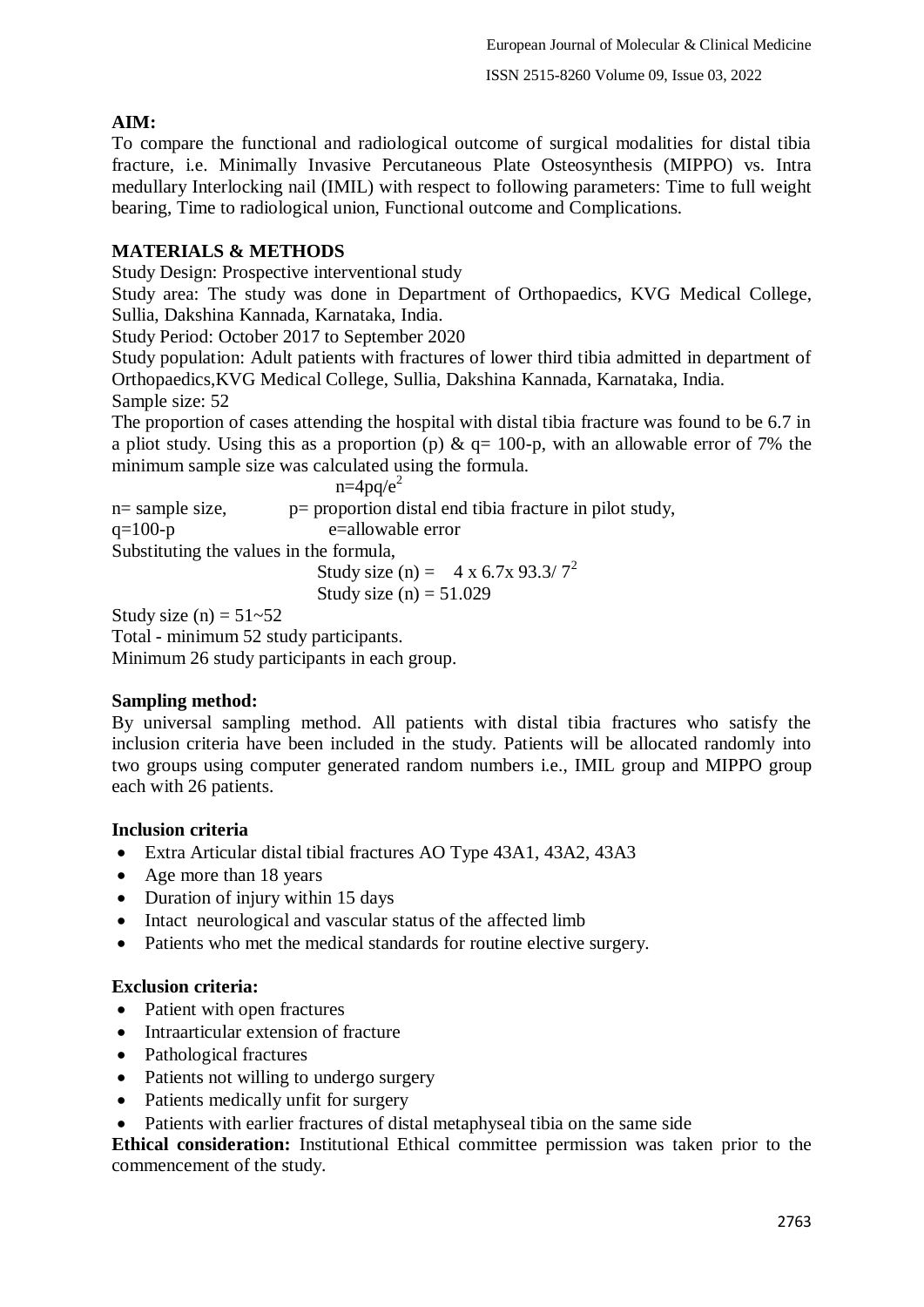# **AIM:**

To compare the functional and radiological outcome of surgical modalities for distal tibia fracture, i.e. Minimally Invasive Percutaneous Plate Osteosynthesis (MIPPO) vs. Intra medullary Interlocking nail (IMIL) with respect to following parameters: Time to full weight bearing, Time to radiological union, Functional outcome and Complications.

## **MATERIALS & METHODS**

Study Design: Prospective interventional study

Study area: The study was done in Department of Orthopaedics, KVG Medical College, Sullia, Dakshina Kannada, Karnataka, India.

Study Period: October 2017 to September 2020

Study population: Adult patients with fractures of lower third tibia admitted in department of Orthopaedics,KVG Medical College, Sullia, Dakshina Kannada, Karnataka, India. Sample size: 52

The proportion of cases attending the hospital with distal tibia fracture was found to be 6.7 in a pliot study. Using this as a proportion (p)  $\&$  q= 100-p, with an allowable error of 7% the minimum sample size was calculated using the formula.

|                 | $n=4pq/e^2$                                             |
|-----------------|---------------------------------------------------------|
| n= sample size, | p= proportion distal end tibia fracture in pilot study, |
| $q=100-p$       | e=allowable error                                       |
|                 | Substituting the values in the formula,                 |
|                 | Study size (n) = $4 \times 6.7 \times 93.3 / 7^2$       |
|                 | Study size (n) = $51.029$                               |

Study size (n) =  $51-52$ 

Total - minimum 52 study participants. Minimum 26 study participants in each group.

## **Sampling method:**

By universal sampling method. All patients with distal tibia fractures who satisfy the inclusion criteria have been included in the study. Patients will be allocated randomly into two groups using computer generated random numbers i.e., IMIL group and MIPPO group each with 26 patients.

## **Inclusion criteria**

- Extra Articular distal tibial fractures AO Type 43A1, 43A2, 43A3
- Age more than 18 years
- Duration of injury within 15 days
- Intact neurological and vascular status of the affected limb
- Patients who met the medical standards for routine elective surgery.

## **Exclusion criteria:**

- Patient with open fractures
- Intraarticular extension of fracture
- Pathological fractures
- Patients not willing to undergo surgery
- Patients medically unfit for surgery
- Patients with earlier fractures of distal metaphyseal tibia on the same side

**Ethical consideration:** Institutional Ethical committee permission was taken prior to the commencement of the study.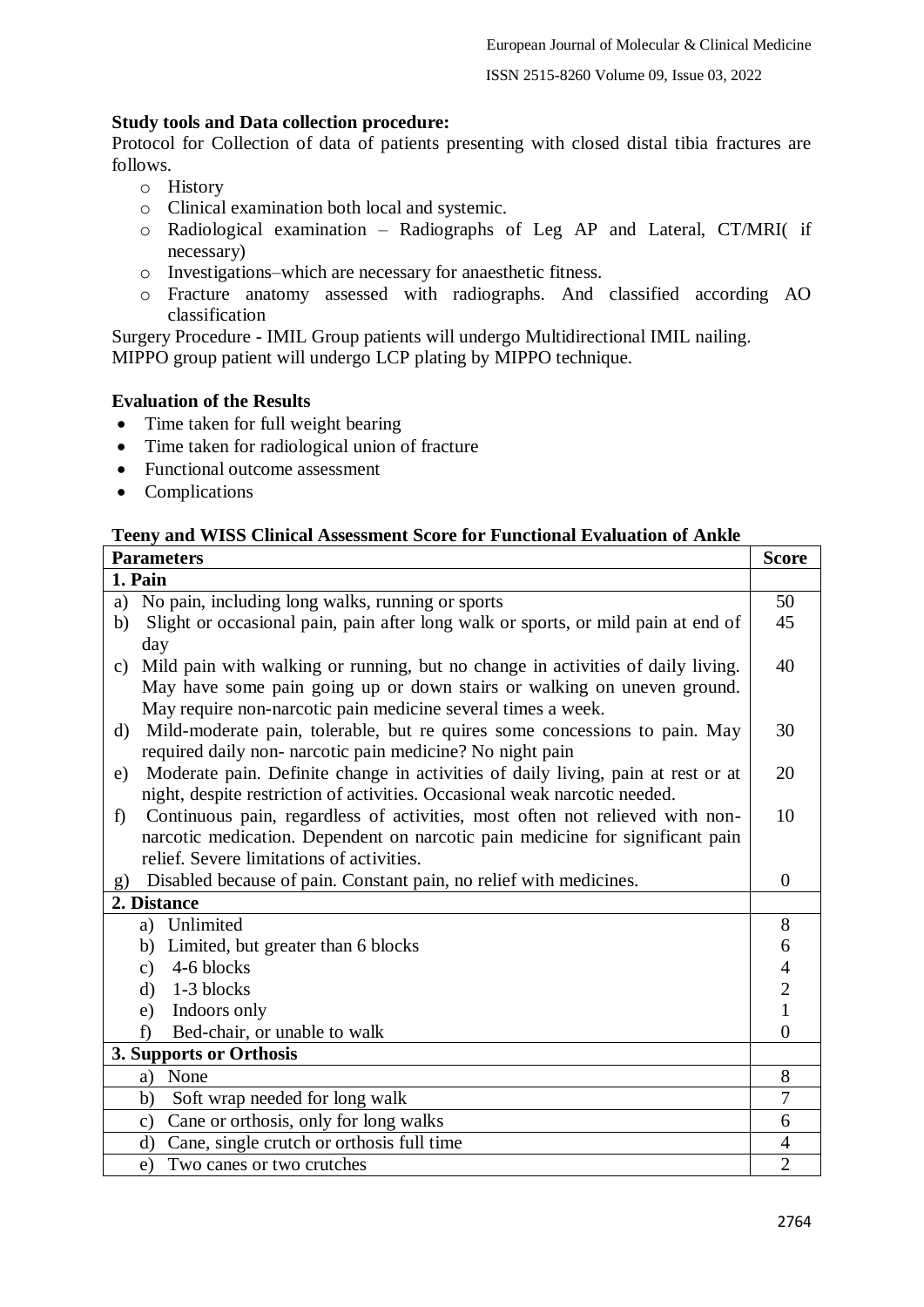ISSN 2515-8260 Volume 09, Issue 03, 2022

#### **Study tools and Data collection procedure:**

Protocol for Collection of data of patients presenting with closed distal tibia fractures are follows.

- o History
- o Clinical examination both local and systemic.
- o Radiological examination Radiographs of Leg AP and Lateral, CT/MRI( if necessary)
- o Investigations–which are necessary for anaesthetic fitness.
- o Fracture anatomy assessed with radiographs. And classified according AO classification

Surgery Procedure - IMIL Group patients will undergo Multidirectional IMIL nailing. MIPPO group patient will undergo LCP plating by MIPPO technique.

### **Evaluation of the Results**

- Time taken for full weight bearing
- Time taken for radiological union of fracture
- Functional outcome assessment
- Complications

#### **Teeny and WISS Clinical Assessment Score for Functional Evaluation of Ankle**

| <b>Parameters</b>                                                                            | <b>Score</b>   |
|----------------------------------------------------------------------------------------------|----------------|
| 1. Pain                                                                                      |                |
| No pain, including long walks, running or sports<br>a)                                       | 50             |
| Slight or occasional pain, pain after long walk or sports, or mild pain at end of<br>b)      | 45             |
| day                                                                                          |                |
| Mild pain with walking or running, but no change in activities of daily living.<br>C)        | 40             |
| May have some pain going up or down stairs or walking on uneven ground.                      |                |
| May require non-narcotic pain medicine several times a week.                                 |                |
| Mild-moderate pain, tolerable, but re quires some concessions to pain. May<br>d)             | 30             |
| required daily non- narcotic pain medicine? No night pain                                    |                |
| Moderate pain. Definite change in activities of daily living, pain at rest or at<br>e)       | 20             |
| night, despite restriction of activities. Occasional weak narcotic needed.                   |                |
| Continuous pain, regardless of activities, most often not relieved with non-<br>$\mathbf{f}$ | 10             |
| narcotic medication. Dependent on narcotic pain medicine for significant pain                |                |
| relief. Severe limitations of activities.                                                    |                |
| Disabled because of pain. Constant pain, no relief with medicines.<br>g)                     | $\Omega$       |
| 2. Distance                                                                                  |                |
| a) Unlimited                                                                                 | 8              |
| Limited, but greater than 6 blocks<br>b)                                                     | 6              |
| 4-6 blocks<br>$\mathbf{c}$ )                                                                 | $\overline{4}$ |
| 1-3 blocks<br>$\rm d$                                                                        | $\overline{c}$ |
| Indoors only<br>e)                                                                           | $\mathbf{1}$   |
| Bed-chair, or unable to walk<br>f                                                            | $\theta$       |
| 3. Supports or Orthosis                                                                      |                |
| None<br>a)                                                                                   | 8              |
| b)<br>Soft wrap needed for long walk                                                         | 7              |
| Cane or orthosis, only for long walks<br>$\mathbf{c})$                                       | 6              |
| Cane, single crutch or orthosis full time<br>d)                                              | $\overline{4}$ |
| Two canes or two crutches<br>e)                                                              | $\overline{2}$ |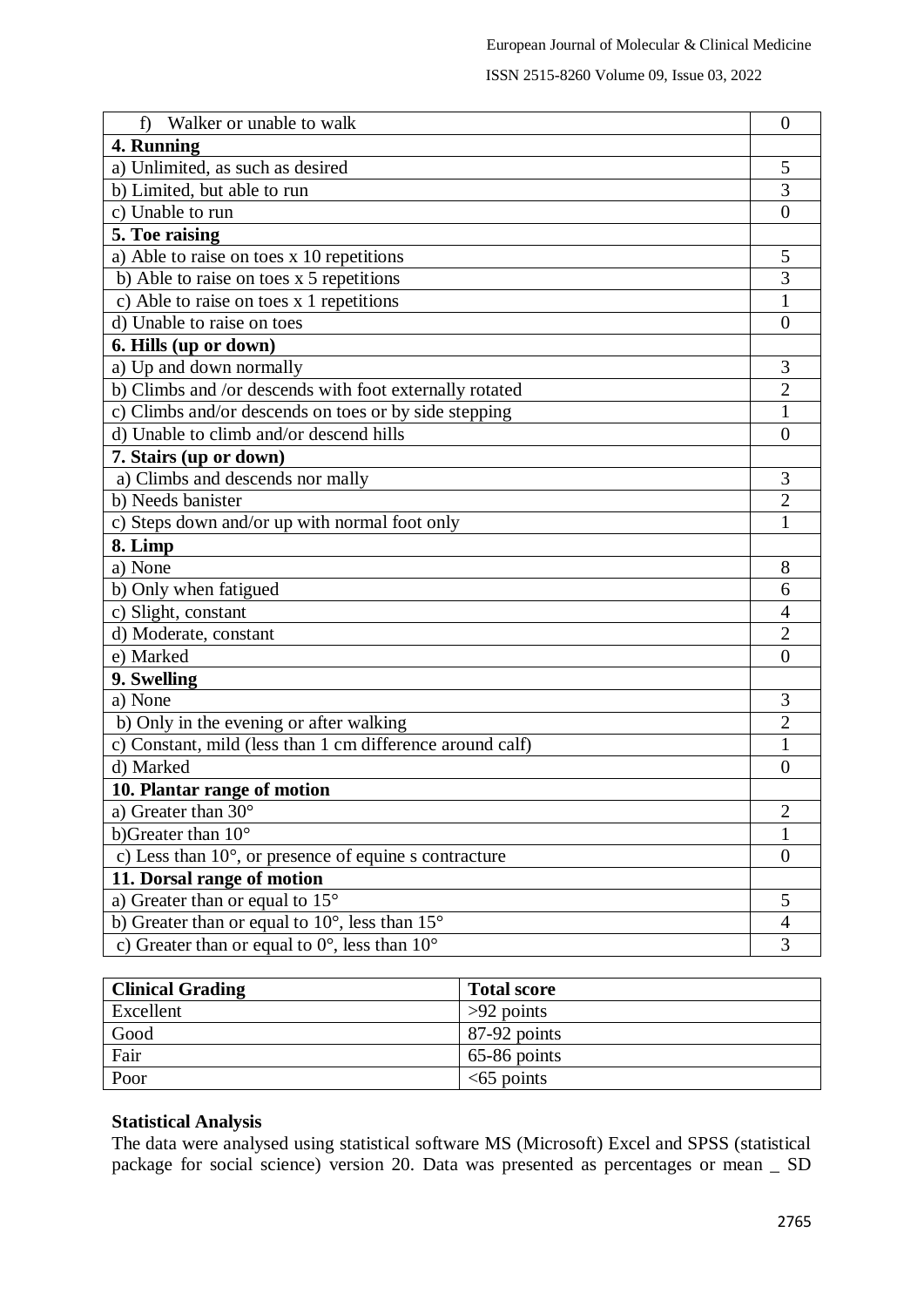| Walker or unable to walk<br>f                                     | $\overline{0}$   |
|-------------------------------------------------------------------|------------------|
| 4. Running                                                        |                  |
| a) Unlimited, as such as desired                                  | 5                |
| b) Limited, but able to run                                       | 3                |
| c) Unable to run                                                  | $\theta$         |
| 5. Toe raising                                                    |                  |
| a) Able to raise on toes x 10 repetitions                         | 5                |
| b) Able to raise on toes x 5 repetitions                          | $\overline{3}$   |
| c) Able to raise on toes x 1 repetitions                          | $\mathbf{1}$     |
| d) Unable to raise on toes                                        | $\overline{0}$   |
| 6. Hills (up or down)                                             |                  |
| a) Up and down normally                                           | 3                |
| b) Climbs and /or descends with foot externally rotated           | $\overline{2}$   |
| c) Climbs and/or descends on toes or by side stepping             | 1                |
| d) Unable to climb and/or descend hills                           | 0                |
| 7. Stairs (up or down)                                            |                  |
| a) Climbs and descends nor mally                                  | 3                |
| b) Needs banister                                                 | $\overline{2}$   |
| c) Steps down and/or up with normal foot only                     | 1                |
| 8. Limp                                                           |                  |
| a) None                                                           | 8                |
| b) Only when fatigued                                             | 6                |
| c) Slight, constant                                               | $\overline{4}$   |
| d) Moderate, constant                                             | $\overline{2}$   |
| e) Marked                                                         | $\theta$         |
| 9. Swelling                                                       |                  |
| a) None                                                           | 3                |
| b) Only in the evening or after walking                           | $\overline{2}$   |
| c) Constant, mild (less than 1 cm difference around calf)         | 1                |
| d) Marked                                                         | $\Omega$         |
| 10. Plantar range of motion                                       |                  |
| a) Greater than 30°                                               | $\overline{c}$   |
| b)Greater than $10^{\circ}$                                       | 1                |
| c) Less than 10°, or presence of equine s contracture             | $\boldsymbol{0}$ |
| 11. Dorsal range of motion                                        |                  |
| a) Greater than or equal to $15^{\circ}$                          | 5                |
| b) Greater than or equal to $10^{\circ}$ , less than $15^{\circ}$ | 4                |
| c) Greater than or equal to $0^\circ$ , less than $10^\circ$      | 3                |

| <b>Clinical Grading</b> | <b>Total score</b> |
|-------------------------|--------------------|
| Excellent               | $>92$ points       |
| Good                    | 87-92 points       |
| Fair                    | $65-86$ points     |
| Poor                    | $<65$ points       |

#### **Statistical Analysis**

The data were analysed using statistical software MS (Microsoft) Excel and SPSS (statistical package for social science) version 20. Data was presented as percentages or mean \_ SD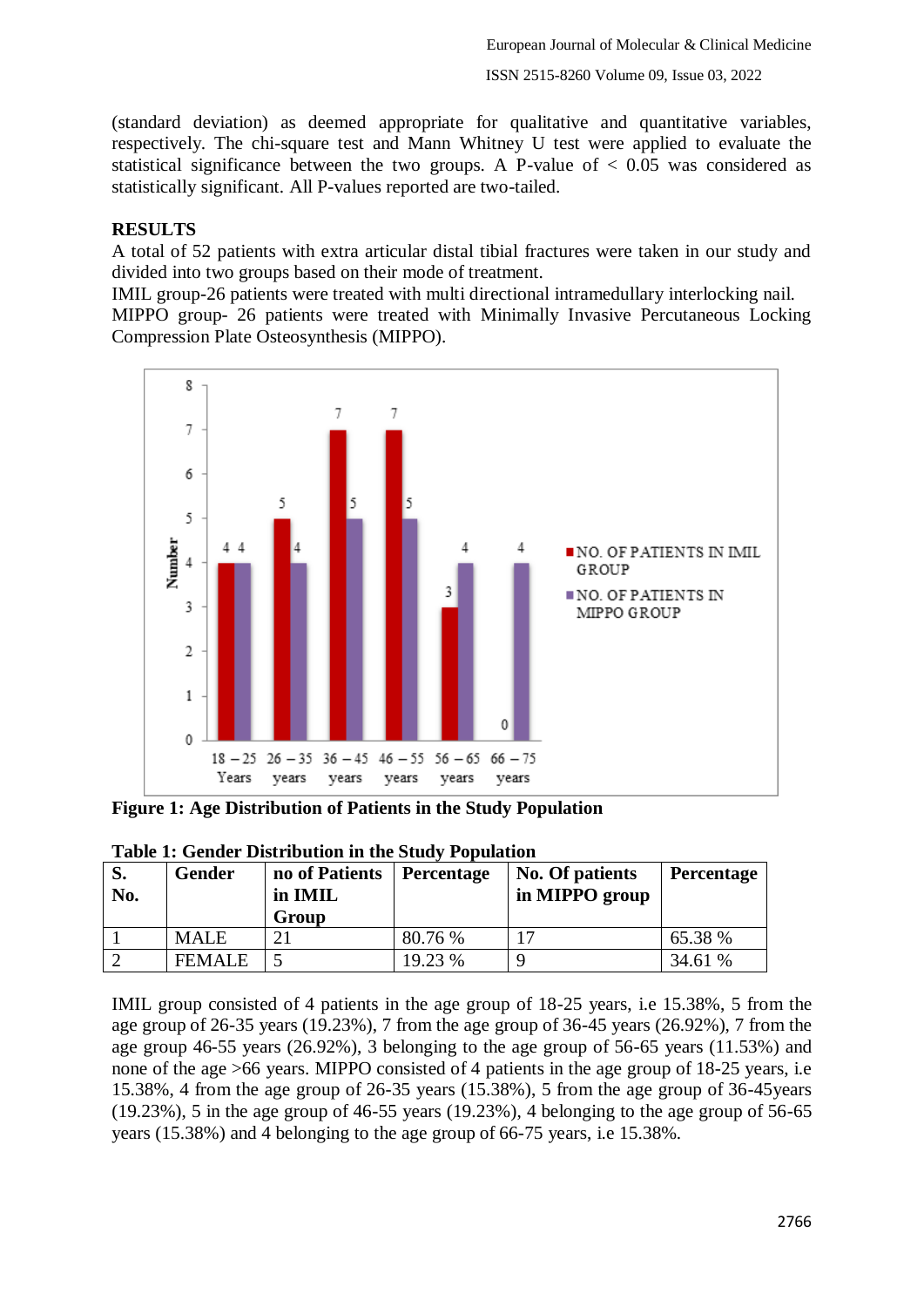(standard deviation) as deemed appropriate for qualitative and quantitative variables, respectively. The chi-square test and Mann Whitney U test were applied to evaluate the statistical significance between the two groups. A P-value of  $\lt$  0.05 was considered as statistically significant. All P-values reported are two-tailed.

## **RESULTS**

A total of 52 patients with extra articular distal tibial fractures were taken in our study and divided into two groups based on their mode of treatment.

IMIL group-26 patients were treated with multi directional intramedullary interlocking nail. MIPPO group- 26 patients were treated with Minimally Invasive Percutaneous Locking Compression Plate Osteosynthesis (MIPPO).



**Figure 1: Age Distribution of Patients in the Study Population**

| No. | Gender        | no of Patients<br>in IMIL<br>Group | Percentage | No. Of patients<br>in MIPPO group | <b>Percentage</b> |
|-----|---------------|------------------------------------|------------|-----------------------------------|-------------------|
|     | <b>MALE</b>   |                                    | 80.76 %    |                                   | 65.38 %           |
|     | <b>FEMALE</b> |                                    | 19.23 %    |                                   | 34.61 %           |

**Table 1: Gender Distribution in the Study Population**

IMIL group consisted of 4 patients in the age group of 18-25 years, i.e 15.38%, 5 from the age group of 26-35 years (19.23%), 7 from the age group of 36-45 years (26.92%), 7 from the age group 46-55 years (26.92%), 3 belonging to the age group of 56-65 years (11.53%) and none of the age >66 years. MIPPO consisted of 4 patients in the age group of 18-25 years, i.e 15.38%, 4 from the age group of 26-35 years (15.38%), 5 from the age group of 36-45years  $(19.23\%)$ , 5 in the age group of 46-55 years  $(19.23\%)$ , 4 belonging to the age group of 56-65 years (15.38%) and 4 belonging to the age group of 66-75 years, i.e 15.38%.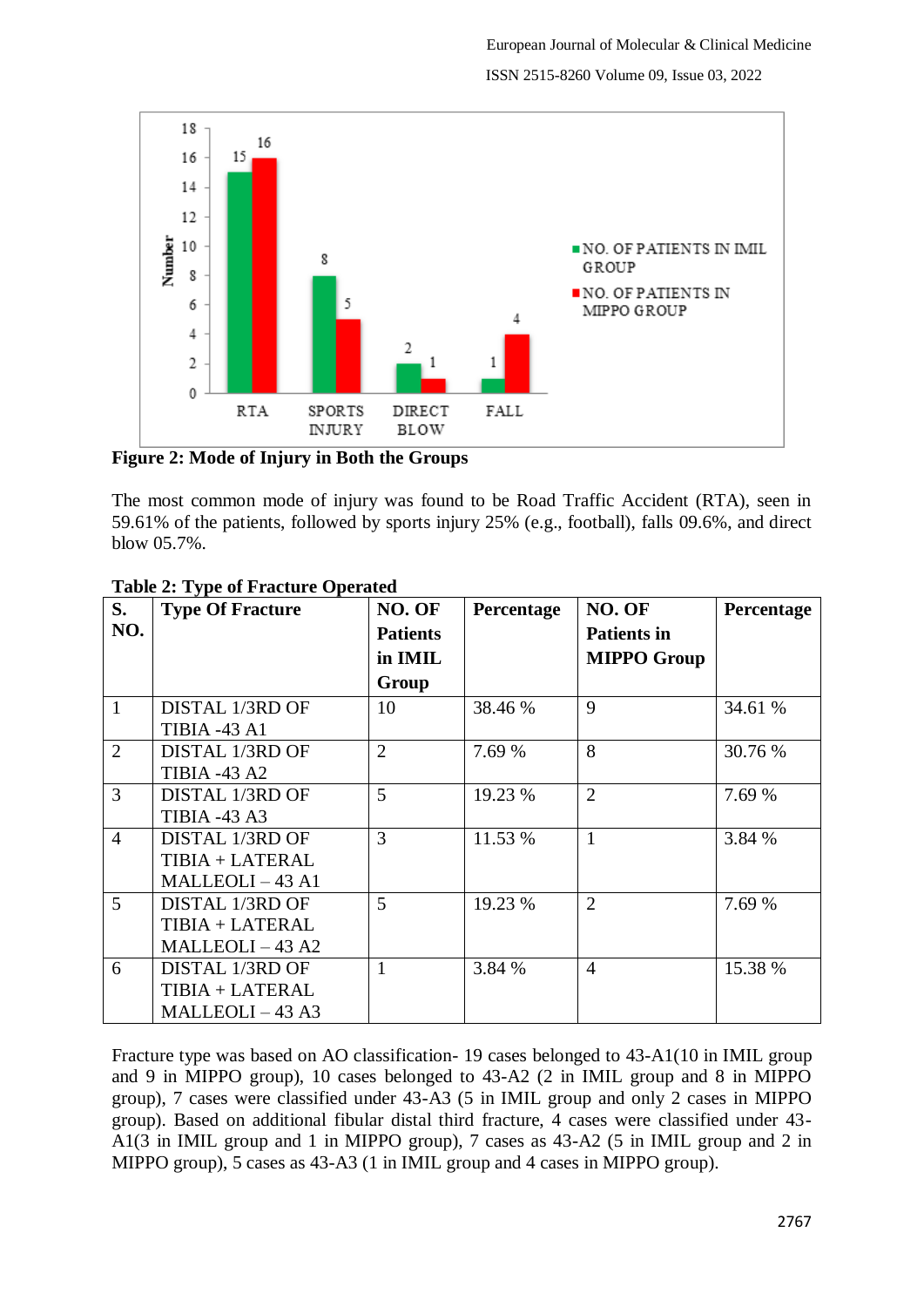

**Figure 2: Mode of Injury in Both the Groups**

The most common mode of injury was found to be Road Traffic Accident (RTA), seen in 59.61% of the patients, followed by sports injury 25% (e.g., football), falls 09.6%, and direct blow 05.7%.

| S.             | <b>Type Of Fracture</b> | NO. OF          | Percentage | NO. OF             | Percentage |
|----------------|-------------------------|-----------------|------------|--------------------|------------|
| NO.            |                         | <b>Patients</b> |            | <b>Patients in</b> |            |
|                |                         | in IMIL         |            | <b>MIPPO Group</b> |            |
|                |                         | Group           |            |                    |            |
| $\mathbf{1}$   | DISTAL 1/3RD OF         | 10              | 38.46 %    | 9                  | 34.61 %    |
|                | <b>TIBIA -43 A1</b>     |                 |            |                    |            |
| $\overline{2}$ | DISTAL 1/3RD OF         | $\overline{2}$  | 7.69 %     | 8                  | 30.76 %    |
|                | <b>TIBIA -43 A2</b>     |                 |            |                    |            |
| 3              | DISTAL 1/3RD OF         | 5               | 19.23 %    | $\overline{2}$     | 7.69 %     |
|                | <b>TIBIA -43 A3</b>     |                 |            |                    |            |
| $\overline{4}$ | DISTAL 1/3RD OF         | 3               | 11.53 %    | 1                  | 3.84 %     |
|                | TIBIA + LATERAL         |                 |            |                    |            |
|                | MALLEOLI-43 A1          |                 |            |                    |            |
| $\mathfrak{H}$ | DISTAL 1/3RD OF         | 5               | 19.23 %    | $\overline{2}$     | 7.69 %     |
|                | TIBIA + LATERAL         |                 |            |                    |            |
|                | MALLEOLI-43 A2          |                 |            |                    |            |
| 6              | DISTAL 1/3RD OF         |                 | 3.84 %     | $\overline{4}$     | 15.38 %    |
|                | TIBIA + LATERAL         |                 |            |                    |            |
|                | $MALLEOLI - 43 A3$      |                 |            |                    |            |

### **Table 2: Type of Fracture Operated**

Fracture type was based on AO classification- 19 cases belonged to 43-A1(10 in IMIL group and 9 in MIPPO group), 10 cases belonged to 43-A2 (2 in IMIL group and 8 in MIPPO group), 7 cases were classified under 43-A3 (5 in IMIL group and only 2 cases in MIPPO group). Based on additional fibular distal third fracture, 4 cases were classified under 43- A1(3 in IMIL group and 1 in MIPPO group), 7 cases as 43-A2 (5 in IMIL group and 2 in MIPPO group), 5 cases as 43-A3 (1 in IMIL group and 4 cases in MIPPO group).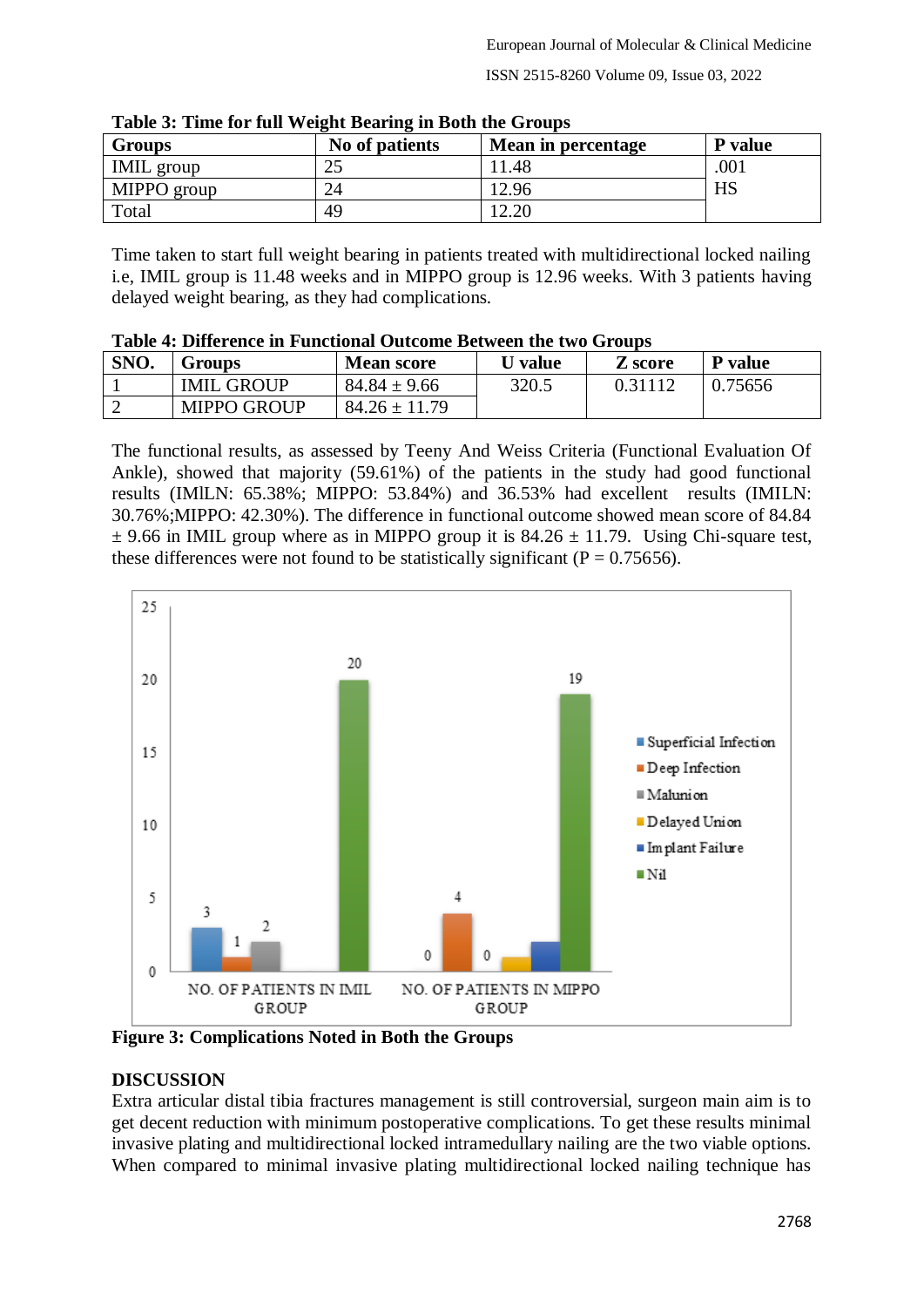| <b>Groups</b>     | No of patients | Mean in percentage | P value |
|-------------------|----------------|--------------------|---------|
| <b>IMIL</b> group |                | l.48               | .001    |
| MIPPO group       | 24             | 12.96              | HS      |
| Total             | 49             | 2.20               |         |

**Table 3: Time for full Weight Bearing in Both the Groups**

Time taken to start full weight bearing in patients treated with multidirectional locked nailing i.e, IMIL group is 11.48 weeks and in MIPPO group is 12.96 weeks. With 3 patients having delayed weight bearing, as they had complications.

| Table 4. Difference in Functional Outcome Detween the two Groups |                    |                   |         |         |         |  |
|------------------------------------------------------------------|--------------------|-------------------|---------|---------|---------|--|
| SNO.                                                             | Groups             | <b>Mean score</b> | U value | Z score | P value |  |
|                                                                  | <b>IMIL GROUP</b>  | $84.84 \pm 9.66$  | 320.5   | 0.31112 | 0.75656 |  |
|                                                                  | <b>MIPPO GROUP</b> | $84.26 \pm 11.79$ |         |         |         |  |

| Table 4: Difference in Functional Outcome Between the two Groups |  |  |  |  |  |
|------------------------------------------------------------------|--|--|--|--|--|
|------------------------------------------------------------------|--|--|--|--|--|

The functional results, as assessed by Teeny And Weiss Criteria (Functional Evaluation Of Ankle), showed that majority (59.61%) of the patients in the study had good functional results (IMlLN: 65.38%; MIPPO: 53.84%) and 36.53% had excellent results (IMILN: 30.76%;MIPPO: 42.30%). The difference in functional outcome showed mean score of 84.84  $\pm$  9.66 in IMIL group where as in MIPPO group it is 84.26  $\pm$  11.79. Using Chi-square test, these differences were not found to be statistically significant ( $P = 0.75656$ ).



**Figure 3: Complications Noted in Both the Groups**

## **DISCUSSION**

Extra articular distal tibia fractures management is still controversial, surgeon main aim is to get decent reduction with minimum postoperative complications. To get these results minimal invasive plating and multidirectional locked intramedullary nailing are the two viable options. When compared to minimal invasive plating multidirectional locked nailing technique has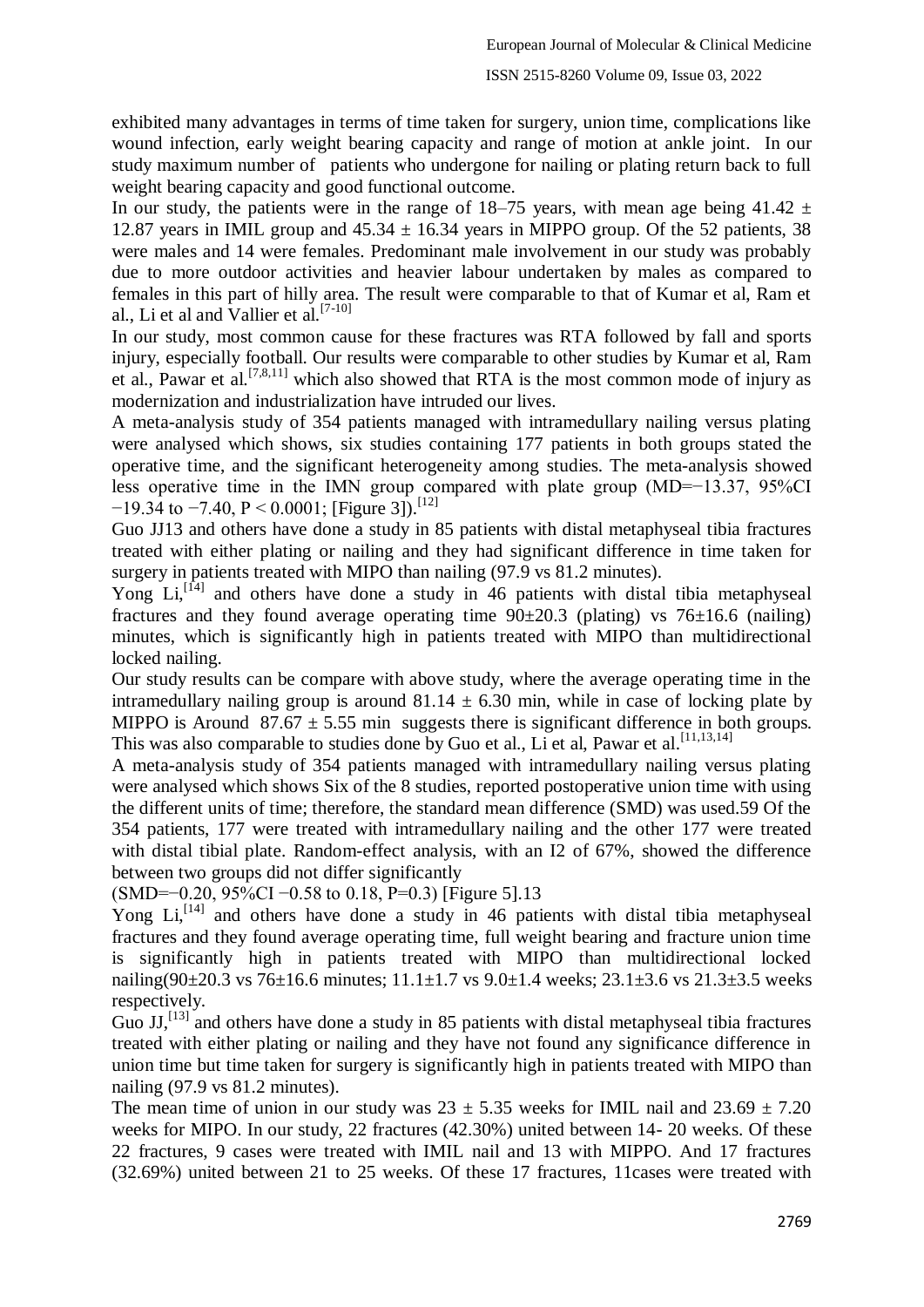#### ISSN 2515-8260 Volume 09, Issue 03, 2022

exhibited many advantages in terms of time taken for surgery, union time, complications like wound infection, early weight bearing capacity and range of motion at ankle joint. In our study maximum number of patients who undergone for nailing or plating return back to full weight bearing capacity and good functional outcome.

In our study, the patients were in the range of 18–75 years, with mean age being 41.42  $\pm$ 12.87 years in IMIL group and  $45.34 \pm 16.34$  years in MIPPO group. Of the 52 patients, 38 were males and 14 were females. Predominant male involvement in our study was probably due to more outdoor activities and heavier labour undertaken by males as compared to females in this part of hilly area. The result were comparable to that of Kumar et al, Ram et al., Li et al and Vallier et al.[7-10]

In our study, most common cause for these fractures was RTA followed by fall and sports injury, especially football. Our results were comparable to other studies by Kumar et al, Ram et al., Pawar et al.<sup>[7,8,11]</sup> which also showed that RTA is the most common mode of injury as modernization and industrialization have intruded our lives.

A meta-analysis study of 354 patients managed with intramedullary nailing versus plating were analysed which shows, six studies containing 177 patients in both groups stated the operative time, and the significant heterogeneity among studies. The meta-analysis showed less operative time in the IMN group compared with plate group (MD=−13.37, 95%CI  $-19.34$  to  $-7.40$ , P < 0.0001; [Figure 3]).<sup>[12]</sup>

Guo JJ13 and others have done a study in 85 patients with distal metaphyseal tibia fractures treated with either plating or nailing and they had significant difference in time taken for surgery in patients treated with MIPO than nailing (97.9 vs 81.2 minutes).

Yong  $Li<sub>1</sub>$ <sup>[14]</sup> and others have done a study in 46 patients with distal tibia metaphyseal fractures and they found average operating time  $90\pm20.3$  (plating) vs  $76\pm16.6$  (nailing) minutes, which is significantly high in patients treated with MIPO than multidirectional locked nailing.

Our study results can be compare with above study, where the average operating time in the intramedullary nailing group is around  $81.14 \pm 6.30$  min, while in case of locking plate by MIPPO is Around  $87.67 \pm 5.55$  min suggests there is significant difference in both groups. This was also comparable to studies done by Guo et al., Li et al, Pawar et al.<sup>[11,13,14]</sup>

A meta-analysis study of 354 patients managed with intramedullary nailing versus plating were analysed which shows Six of the 8 studies, reported postoperative union time with using the different units of time; therefore, the standard mean difference (SMD) was used.59 Of the 354 patients, 177 were treated with intramedullary nailing and the other 177 were treated with distal tibial plate. Random-effect analysis, with an I2 of 67%, showed the difference between two groups did not differ significantly

(SMD=−0.20, 95%CI −0.58 to 0.18, P=0.3) [Figure 5].13

Yong  $Li<sub>1</sub><sup>[14]</sup>$  and others have done a study in 46 patients with distal tibia metaphyseal fractures and they found average operating time, full weight bearing and fracture union time is significantly high in patients treated with MIPO than multidirectional locked nailing(90 $\pm$ 20.3 vs 76 $\pm$ 16.6 minutes; 11.1 $\pm$ 1.7 vs 9.0 $\pm$ 1.4 weeks; 23.1 $\pm$ 3.6 vs 21.3 $\pm$ 3.5 weeks respectively.

Guo  $JJ$ ,  $^{[13]}$  and others have done a study in 85 patients with distal metaphyseal tibia fractures treated with either plating or nailing and they have not found any significance difference in union time but time taken for surgery is significantly high in patients treated with MIPO than nailing (97.9 vs 81.2 minutes).

The mean time of union in our study was  $23 \pm 5.35$  weeks for IMIL nail and  $23.69 \pm 7.20$ weeks for MIPO. In our study, 22 fractures (42.30%) united between 14- 20 weeks. Of these 22 fractures, 9 cases were treated with IMIL nail and 13 with MIPPO. And 17 fractures (32.69%) united between 21 to 25 weeks. Of these 17 fractures, 11cases were treated with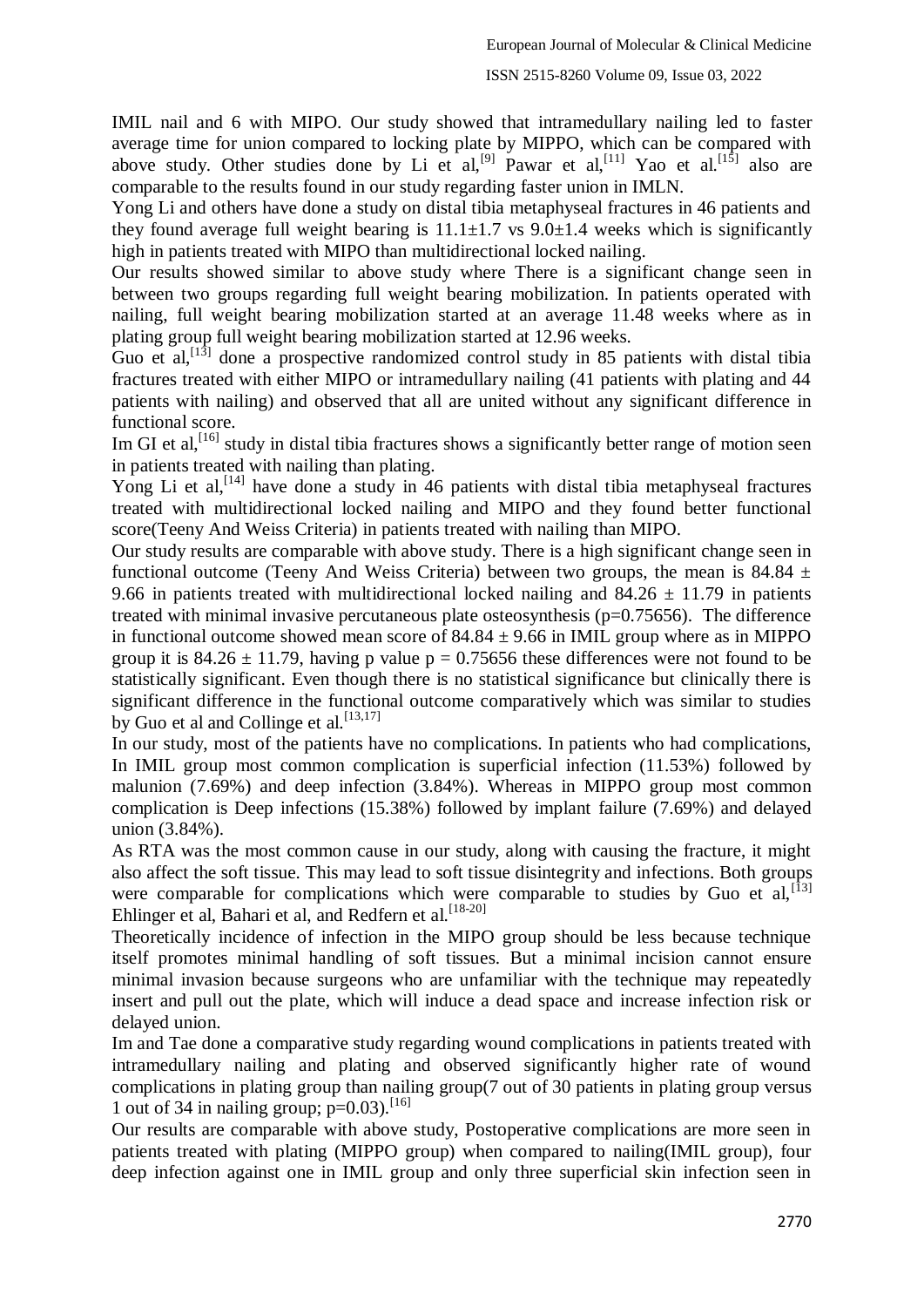IMIL nail and 6 with MIPO. Our study showed that intramedullary nailing led to faster average time for union compared to locking plate by MIPPO, which can be compared with above study. Other studies done by Li et al, <sup>[9]</sup> Pawar et al, <sup>[11]</sup> Yao et al. <sup>[15]</sup> also are comparable to the results found in our study regarding faster union in IMLN.

Yong Li and others have done a study on distal tibia metaphyseal fractures in 46 patients and they found average full weight bearing is  $11.1 \pm 1.7$  vs  $9.0 \pm 1.4$  weeks which is significantly high in patients treated with MIPO than multidirectional locked nailing.

Our results showed similar to above study where There is a significant change seen in between two groups regarding full weight bearing mobilization. In patients operated with nailing, full weight bearing mobilization started at an average 11.48 weeks where as in plating group full weight bearing mobilization started at 12.96 weeks.

Guo et al,  $[13]$  done a prospective randomized control study in 85 patients with distal tibia fractures treated with either MIPO or intramedullary nailing (41 patients with plating and 44 patients with nailing) and observed that all are united without any significant difference in functional score.

Im GI et al,<sup>[16]</sup> study in distal tibia fractures shows a significantly better range of motion seen in patients treated with nailing than plating.

Yong Li et al,<sup>[14]</sup> have done a study in 46 patients with distal tibia metaphyseal fractures treated with multidirectional locked nailing and MIPO and they found better functional score(Teeny And Weiss Criteria) in patients treated with nailing than MIPO.

Our study results are comparable with above study. There is a high significant change seen in functional outcome (Teeny And Weiss Criteria) between two groups, the mean is 84.84  $\pm$ 9.66 in patients treated with multidirectional locked nailing and  $84.26 \pm 11.79$  in patients treated with minimal invasive percutaneous plate osteosynthesis (p=0.75656). The difference in functional outcome showed mean score of  $84.84 \pm 9.66$  in IMIL group where as in MIPPO group it is  $84.26 \pm 11.79$ , having p value p = 0.75656 these differences were not found to be statistically significant. Even though there is no statistical significance but clinically there is significant difference in the functional outcome comparatively which was similar to studies by Guo et al and Collinge et al.  $[13,17]$ 

In our study, most of the patients have no complications. In patients who had complications, In IMIL group most common complication is superficial infection (11.53%) followed by malunion (7.69%) and deep infection (3.84%). Whereas in MIPPO group most common complication is Deep infections (15.38%) followed by implant failure (7.69%) and delayed union (3.84%).

As RTA was the most common cause in our study, along with causing the fracture, it might also affect the soft tissue. This may lead to soft tissue disintegrity and infections. Both groups were comparable for complications which were comparable to studies by Guo et al,  $^{[13]}$ Ehlinger et al, Bahari et al, and Redfern et al.<sup>[18-20]</sup>

Theoretically incidence of infection in the MIPO group should be less because technique itself promotes minimal handling of soft tissues. But a minimal incision cannot ensure minimal invasion because surgeons who are unfamiliar with the technique may repeatedly insert and pull out the plate, which will induce a dead space and increase infection risk or delayed union.

Im and Tae done a comparative study regarding wound complications in patients treated with intramedullary nailing and plating and observed significantly higher rate of wound complications in plating group than nailing group(7 out of 30 patients in plating group versus 1 out of 34 in nailing group;  $p=0.03$ ).<sup>[16]</sup>

Our results are comparable with above study, Postoperative complications are more seen in patients treated with plating (MIPPO group) when compared to nailing(IMIL group), four deep infection against one in IMIL group and only three superficial skin infection seen in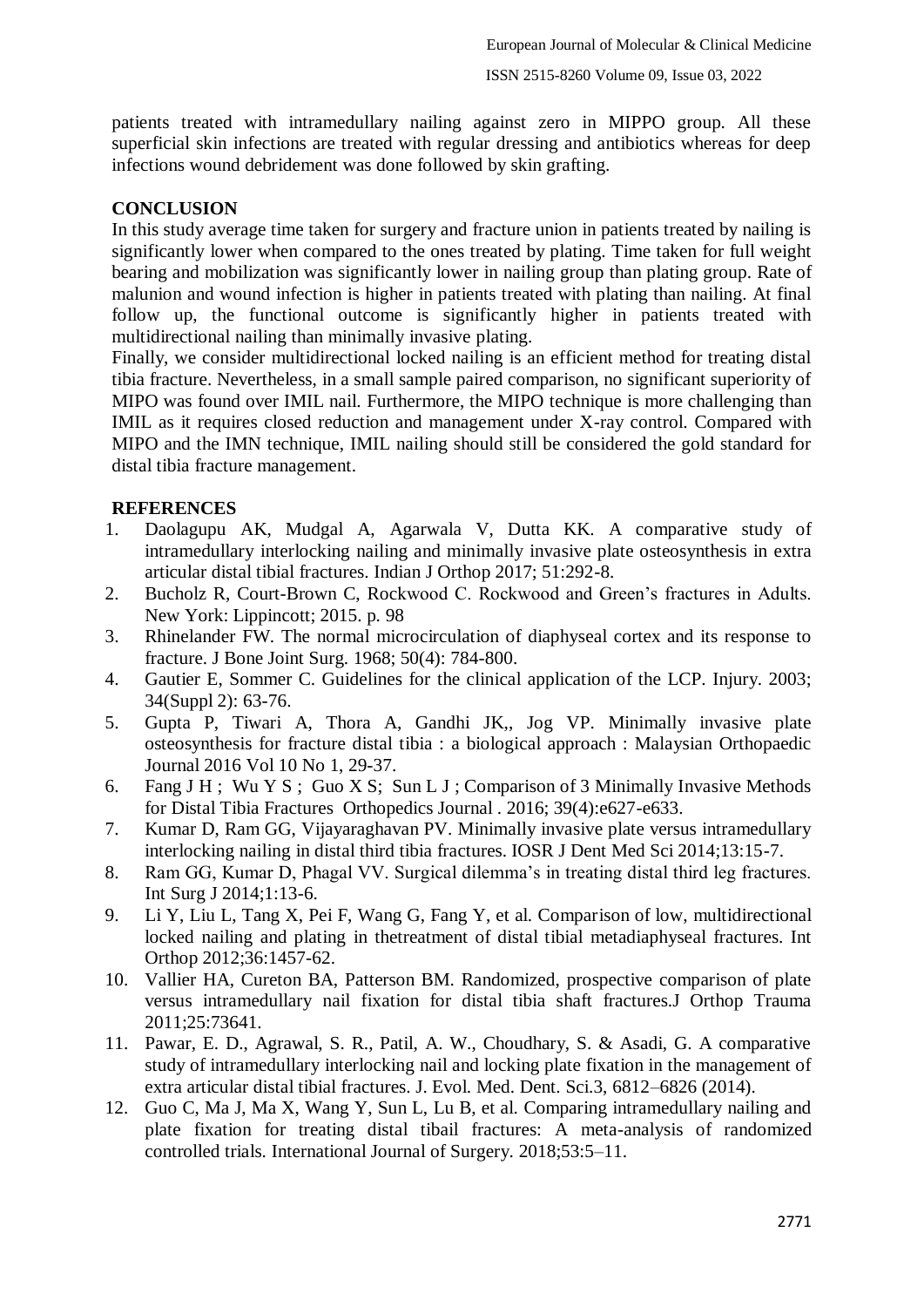patients treated with intramedullary nailing against zero in MIPPO group. All these superficial skin infections are treated with regular dressing and antibiotics whereas for deep infections wound debridement was done followed by skin grafting.

## **CONCLUSION**

In this study average time taken for surgery and fracture union in patients treated by nailing is significantly lower when compared to the ones treated by plating. Time taken for full weight bearing and mobilization was significantly lower in nailing group than plating group. Rate of malunion and wound infection is higher in patients treated with plating than nailing. At final follow up, the functional outcome is significantly higher in patients treated with multidirectional nailing than minimally invasive plating.

Finally, we consider multidirectional locked nailing is an efficient method for treating distal tibia fracture. Nevertheless, in a small sample paired comparison, no significant superiority of MIPO was found over IMIL nail. Furthermore, the MIPO technique is more challenging than IMIL as it requires closed reduction and management under X-ray control. Compared with MIPO and the IMN technique, IMIL nailing should still be considered the gold standard for distal tibia fracture management.

## **REFERENCES**

- 1. Daolagupu AK, Mudgal A, Agarwala V, Dutta KK. A comparative study of intramedullary interlocking nailing and minimally invasive plate osteosynthesis in extra articular distal tibial fractures. Indian J Orthop 2017; 51:292-8.
- 2. Bucholz R, Court-Brown C, Rockwood C. Rockwood and Green's fractures in Adults. New York: Lippincott; 2015. p. 98
- 3. Rhinelander FW. The normal microcirculation of diaphyseal cortex and its response to fracture. J Bone Joint Surg. 1968; 50(4): 784-800.
- 4. Gautier E, Sommer C. Guidelines for the clinical application of the LCP. Injury. 2003; 34(Suppl 2): 63-76.
- 5. Gupta P, Tiwari A, Thora A, Gandhi JK,, Jog VP. Minimally invasive plate osteosynthesis for fracture distal tibia : a biological approach : Malaysian Orthopaedic Journal 2016 Vol 10 No 1, 29-37.
- 6. Fang J H ; Wu Y S ; Guo X S; Sun L J ; Comparison of 3 Minimally Invasive Methods for Distal Tibia Fractures Orthopedics Journal . 2016; 39(4):e627-e633.
- 7. Kumar D, Ram GG, Vijayaraghavan PV. Minimally invasive plate versus intramedullary interlocking nailing in distal third tibia fractures. IOSR J Dent Med Sci 2014;13:15-7.
- 8. Ram GG, Kumar D, Phagal VV. Surgical dilemma's in treating distal third leg fractures. Int Surg J 2014;1:13-6.
- 9. Li Y, Liu L, Tang X, Pei F, Wang G, Fang Y, et al. Comparison of low, multidirectional locked nailing and plating in thetreatment of distal tibial metadiaphyseal fractures. Int Orthop 2012;36:1457-62.
- 10. Vallier HA, Cureton BA, Patterson BM. Randomized, prospective comparison of plate versus intramedullary nail fixation for distal tibia shaft fractures.J Orthop Trauma 2011;25:73641.
- 11. Pawar, E. D., Agrawal, S. R., Patil, A. W., Choudhary, S. & Asadi, G. A comparative study of intramedullary interlocking nail and locking plate fixation in the management of extra articular distal tibial fractures. J. Evol. Med. Dent. Sci.3, 6812–6826 (2014).
- 12. Guo C, Ma J, Ma X, Wang Y, Sun L, Lu B, et al. Comparing intramedullary nailing and plate fixation for treating distal tibail fractures: A meta-analysis of randomized controlled trials. International Journal of Surgery. 2018;53:5–11.